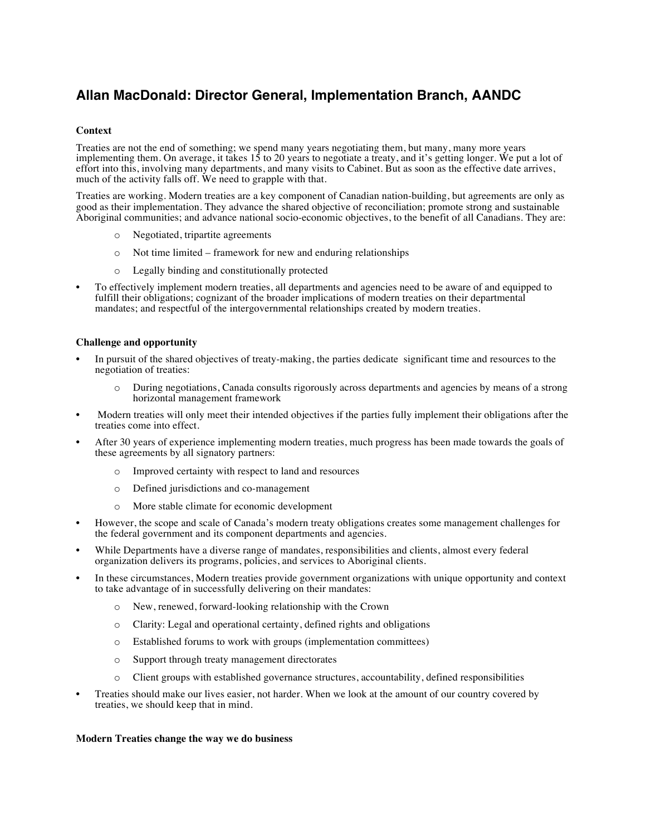# **Allan MacDonald: Director General, Implementation Branch, AANDC**

# **Context**

Treaties are not the end of something; we spend many years negotiating them, but many, many more years implementing them. On average, it takes 15 to 20 years to negotiate a treaty, and it's getting longer. We put a lot of effort into this, involving many departments, and many visits to Cabinet. But as soon as the effective date arrives, much of the activity falls off. We need to grapple with that.

Treaties are working. Modern treaties are a key component of Canadian nation-building, but agreements are only as good as their implementation. They advance the shared objective of reconciliation; promote strong and sustainable Aboriginal communities; and advance national socio-economic objectives, to the benefit of all Canadians. They are:

- o Negotiated, tripartite agreements
- o Not time limited framework for new and enduring relationships
- o Legally binding and constitutionally protected
- To effectively implement modern treaties, all departments and agencies need to be aware of and equipped to fulfill their obligations; cognizant of the broader implications of modern treaties on their departmental mandates; and respectful of the intergovernmental relationships created by modern treaties.

#### **Challenge and opportunity**

- In pursuit of the shared objectives of treaty-making, the parties dedicate significant time and resources to the negotiation of treaties:
	- o During negotiations, Canada consults rigorously across departments and agencies by means of a strong horizontal management framework
- Modern treaties will only meet their intended objectives if the parties fully implement their obligations after the treaties come into effect.
- After 30 years of experience implementing modern treaties, much progress has been made towards the goals of these agreements by all signatory partners:
	- o Improved certainty with respect to land and resources
	- o Defined jurisdictions and co-management
	- o More stable climate for economic development
- However, the scope and scale of Canada's modern treaty obligations creates some management challenges for the federal government and its component departments and agencies.
- While Departments have a diverse range of mandates, responsibilities and clients, almost every federal organization delivers its programs, policies, and services to Aboriginal clients.
- In these circumstances, Modern treaties provide government organizations with unique opportunity and context to take advantage of in successfully delivering on their mandates:
	- o New, renewed, forward-looking relationship with the Crown
	- o Clarity: Legal and operational certainty, defined rights and obligations
	- o Established forums to work with groups (implementation committees)
	- o Support through treaty management directorates
	- o Client groups with established governance structures, accountability, defined responsibilities
- Treaties should make our lives easier, not harder. When we look at the amount of our country covered by treaties, we should keep that in mind.

## **Modern Treaties change the way we do business**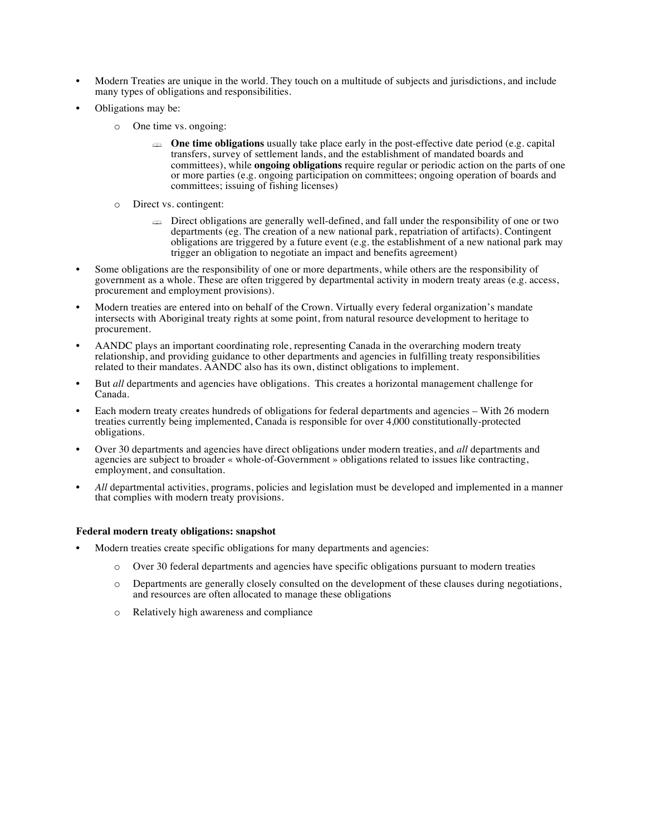- Modern Treaties are unique in the world. They touch on a multitude of subjects and jurisdictions, and include many types of obligations and responsibilities.
- Obligations may be:
	- o One time vs. ongoing:
		- **The time obligations** usually take place early in the post-effective date period (e.g. capital transfers, survey of settlement lands, and the establishment of mandated boards and committees), while **ongoing obligations** require regular or periodic action on the parts of one or more parties (e.g. ongoing participation on committees; ongoing operation of boards and committees; issuing of fishing licenses)
	- o Direct vs. contingent:
		- ! Direct obligations are generally well-defined, and fall under the responsibility of one or two departments (eg. The creation of a new national park, repatriation of artifacts). Contingent obligations are triggered by a future event (e.g. the establishment of a new national park may trigger an obligation to negotiate an impact and benefits agreement)
- Some obligations are the responsibility of one or more departments, while others are the responsibility of government as a whole. These are often triggered by departmental activity in modern treaty areas (e.g. access, procurement and employment provisions).
- Modern treaties are entered into on behalf of the Crown. Virtually every federal organization's mandate intersects with Aboriginal treaty rights at some point, from natural resource development to heritage to procurement.
- AANDC plays an important coordinating role, representing Canada in the overarching modern treaty relationship, and providing guidance to other departments and agencies in fulfilling treaty responsibilities related to their mandates. AANDC also has its own, distinct obligations to implement.
- But *all* departments and agencies have obligations. This creates a horizontal management challenge for Canada.
- Each modern treaty creates hundreds of obligations for federal departments and agencies With 26 modern treaties currently being implemented, Canada is responsible for over 4,000 constitutionally-protected obligations.
- Over 30 departments and agencies have direct obligations under modern treaties, and *all* departments and agencies are subject to broader « whole-of-Government » obligations related to issues like contracting, employment, and consultation.
- *All* departmental activities, programs, policies and legislation must be developed and implemented in a manner that complies with modern treaty provisions.

# **Federal modern treaty obligations: snapshot**

- Modern treaties create specific obligations for many departments and agencies:
	- o Over 30 federal departments and agencies have specific obligations pursuant to modern treaties
	- o Departments are generally closely consulted on the development of these clauses during negotiations, and resources are often allocated to manage these obligations
	- o Relatively high awareness and compliance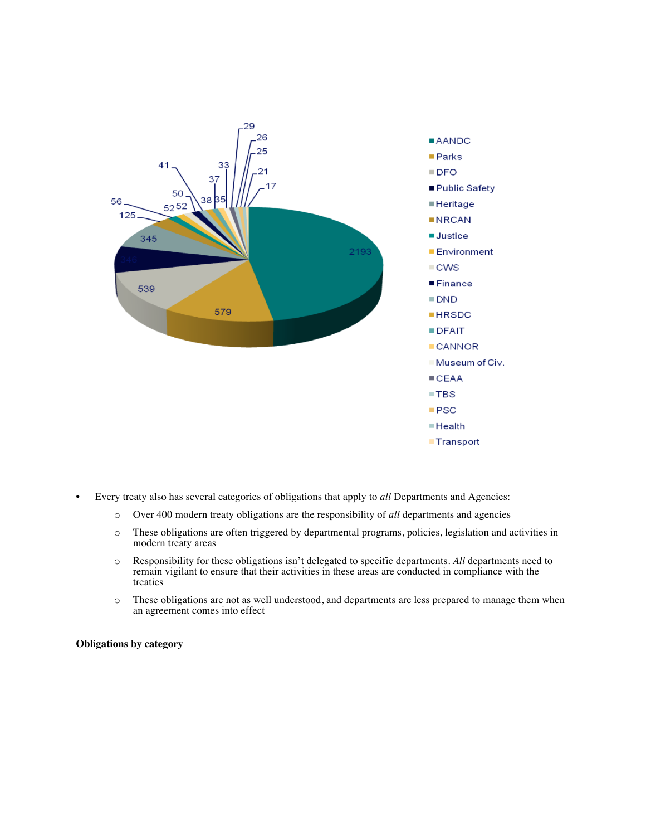

- Every treaty also has several categories of obligations that apply to *all* Departments and Agencies:
	- o Over 400 modern treaty obligations are the responsibility of *all* departments and agencies
	- o These obligations are often triggered by departmental programs, policies, legislation and activities in modern treaty areas
	- o Responsibility for these obligations isn't delegated to specific departments. *All* departments need to remain vigilant to ensure that their activities in these areas are conducted in compliance with the treaties
	- o These obligations are not as well understood, and departments are less prepared to manage them when an agreement comes into effect

**Obligations by category**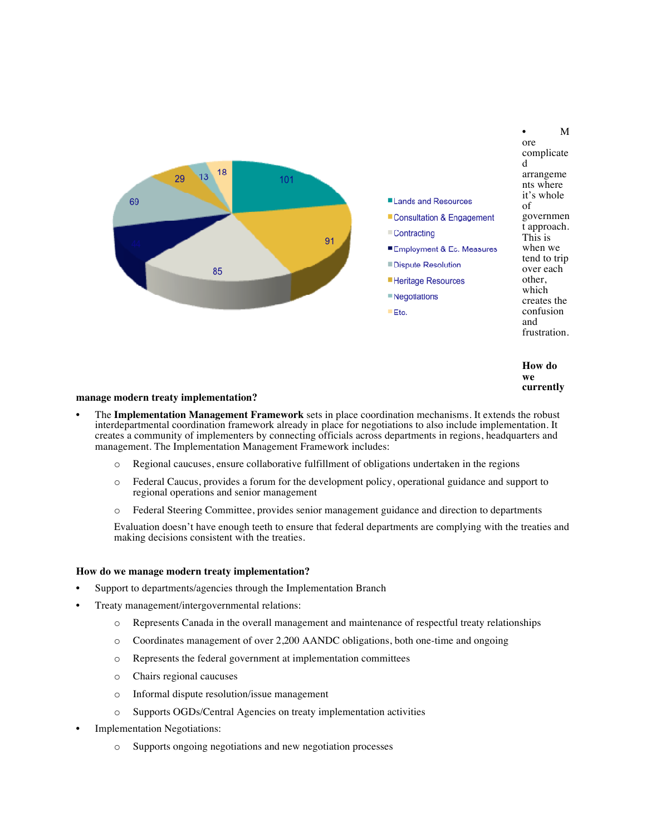

**How do we currently** 

#### **manage modern treaty implementation?**

- The **Implementation Management Framework** sets in place coordination mechanisms. It extends the robust interdepartmental coordination framework already in place for negotiations to also include implementation. It creates a community of implementers by connecting officials across departments in regions, headquarters and management. The Implementation Management Framework includes:
	- o Regional caucuses, ensure collaborative fulfillment of obligations undertaken in the regions
	- o Federal Caucus, provides a forum for the development policy, operational guidance and support to regional operations and senior management
	- o Federal Steering Committee, provides senior management guidance and direction to departments

Evaluation doesn't have enough teeth to ensure that federal departments are complying with the treaties and making decisions consistent with the treaties.

#### **How do we manage modern treaty implementation?**

- Support to departments/agencies through the Implementation Branch
- Treaty management/intergovernmental relations:
	- o Represents Canada in the overall management and maintenance of respectful treaty relationships
	- o Coordinates management of over 2,200 AANDC obligations, both one-time and ongoing
	- o Represents the federal government at implementation committees
	- o Chairs regional caucuses
	- o Informal dispute resolution/issue management
	- o Supports OGDs/Central Agencies on treaty implementation activities
- Implementation Negotiations:
	- o Supports ongoing negotiations and new negotiation processes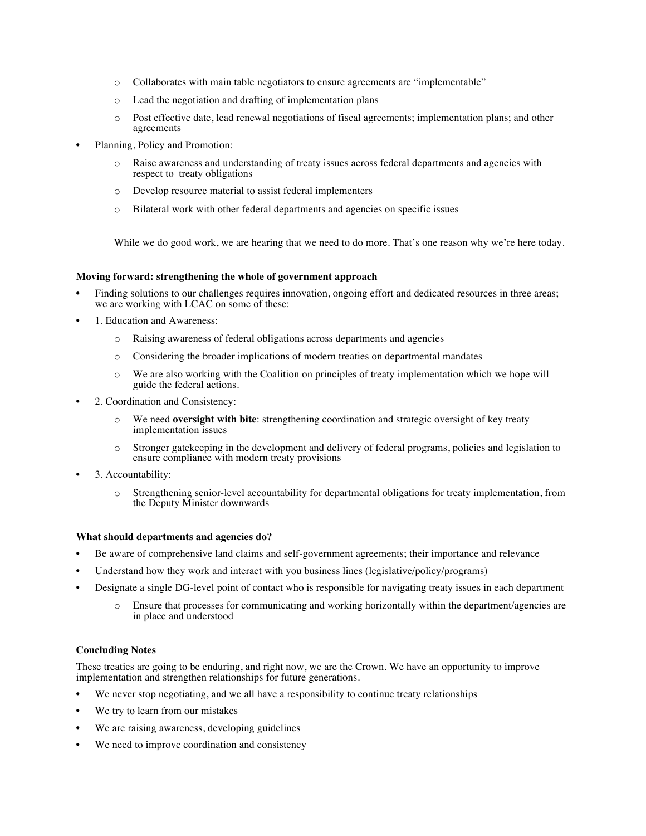- o Collaborates with main table negotiators to ensure agreements are "implementable"
- o Lead the negotiation and drafting of implementation plans
- o Post effective date, lead renewal negotiations of fiscal agreements; implementation plans; and other agreements
- Planning, Policy and Promotion:
	- o Raise awareness and understanding of treaty issues across federal departments and agencies with respect to treaty obligations
	- o Develop resource material to assist federal implementers
	- o Bilateral work with other federal departments and agencies on specific issues

While we do good work, we are hearing that we need to do more. That's one reason why we're here today.

#### **Moving forward: strengthening the whole of government approach**

- Finding solutions to our challenges requires innovation, ongoing effort and dedicated resources in three areas; we are working with LCAC on some of these:
- 1. Education and Awareness:
	- o Raising awareness of federal obligations across departments and agencies
	- o Considering the broader implications of modern treaties on departmental mandates
	- o We are also working with the Coalition on principles of treaty implementation which we hope will guide the federal actions.
- 2. Coordination and Consistency:
	- o We need **oversight with bite**: strengthening coordination and strategic oversight of key treaty implementation issues
	- o Stronger gatekeeping in the development and delivery of federal programs, policies and legislation to ensure compliance with modern treaty provisions
- 3. Accountability:
	- o Strengthening senior-level accountability for departmental obligations for treaty implementation, from the Deputy Minister downwards

#### **What should departments and agencies do?**

- Be aware of comprehensive land claims and self-government agreements; their importance and relevance
- Understand how they work and interact with you business lines (legislative/policy/programs)
- Designate a single DG-level point of contact who is responsible for navigating treaty issues in each department
	- o Ensure that processes for communicating and working horizontally within the department/agencies are in place and understood

## **Concluding Notes**

These treaties are going to be enduring, and right now, we are the Crown. We have an opportunity to improve implementation and strengthen relationships for future generations.

- We never stop negotiating, and we all have a responsibility to continue treaty relationships
- We try to learn from our mistakes
- We are raising awareness, developing guidelines
- We need to improve coordination and consistency